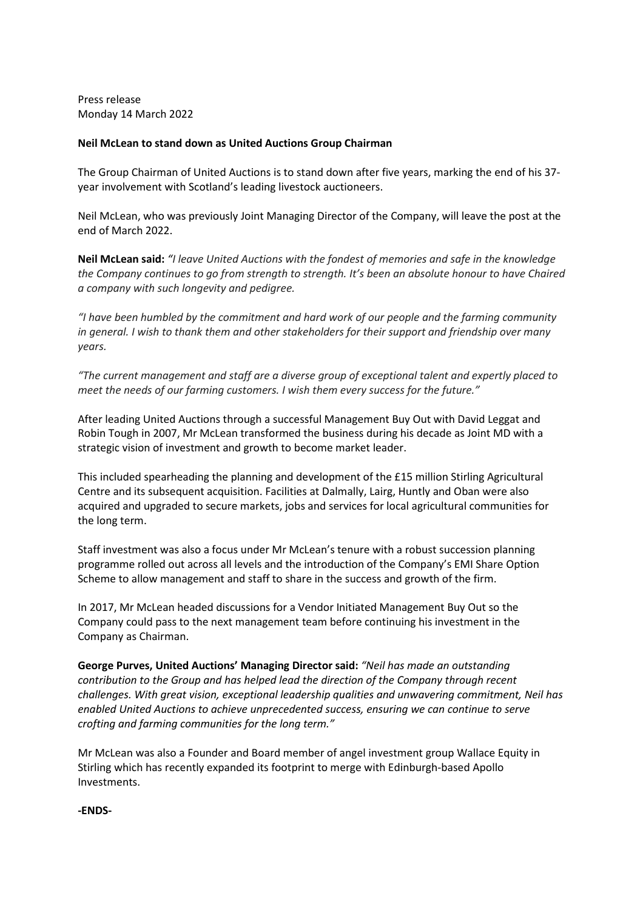Press release Monday 14 March 2022

## **Neil McLean to stand down as United Auctions Group Chairman**

The Group Chairman of United Auctions is to stand down after five years, marking the end of his 37 year involvement with Scotland's leading livestock auctioneers.

Neil McLean, who was previously Joint Managing Director of the Company, will leave the post at the end of March 2022.

**Neil McLean said:** *"I leave United Auctions with the fondest of memories and safe in the knowledge the Company continues to go from strength to strength. It's been an absolute honour to have Chaired a company with such longevity and pedigree.*

*"I have been humbled by the commitment and hard work of our people and the farming community in general. I wish to thank them and other stakeholders for their support and friendship over many years.*

*"The current management and staff are a diverse group of exceptional talent and expertly placed to meet the needs of our farming customers. I wish them every success for the future."*

After leading United Auctions through a successful Management Buy Out with David Leggat and Robin Tough in 2007, Mr McLean transformed the business during his decade as Joint MD with a strategic vision of investment and growth to become market leader.

This included spearheading the planning and development of the £15 million Stirling Agricultural Centre and its subsequent acquisition. Facilities at Dalmally, Lairg, Huntly and Oban were also acquired and upgraded to secure markets, jobs and services for local agricultural communities for the long term.

Staff investment was also a focus under Mr McLean's tenure with a robust succession planning programme rolled out across all levels and the introduction of the Company's EMI Share Option Scheme to allow management and staff to share in the success and growth of the firm.

In 2017, Mr McLean headed discussions for a Vendor Initiated Management Buy Out so the Company could pass to the next management team before continuing his investment in the Company as Chairman.

**George Purves, United Auctions' Managing Director said:** *"Neil has made an outstanding contribution to the Group and has helped lead the direction of the Company through recent challenges. With great vision, exceptional leadership qualities and unwavering commitment, Neil has enabled United Auctions to achieve unprecedented success, ensuring we can continue to serve crofting and farming communities for the long term."*

Mr McLean was also a Founder and Board member of angel investment group Wallace Equity in Stirling which has recently expanded its footprint to merge with Edinburgh-based Apollo Investments.

**-ENDS-**